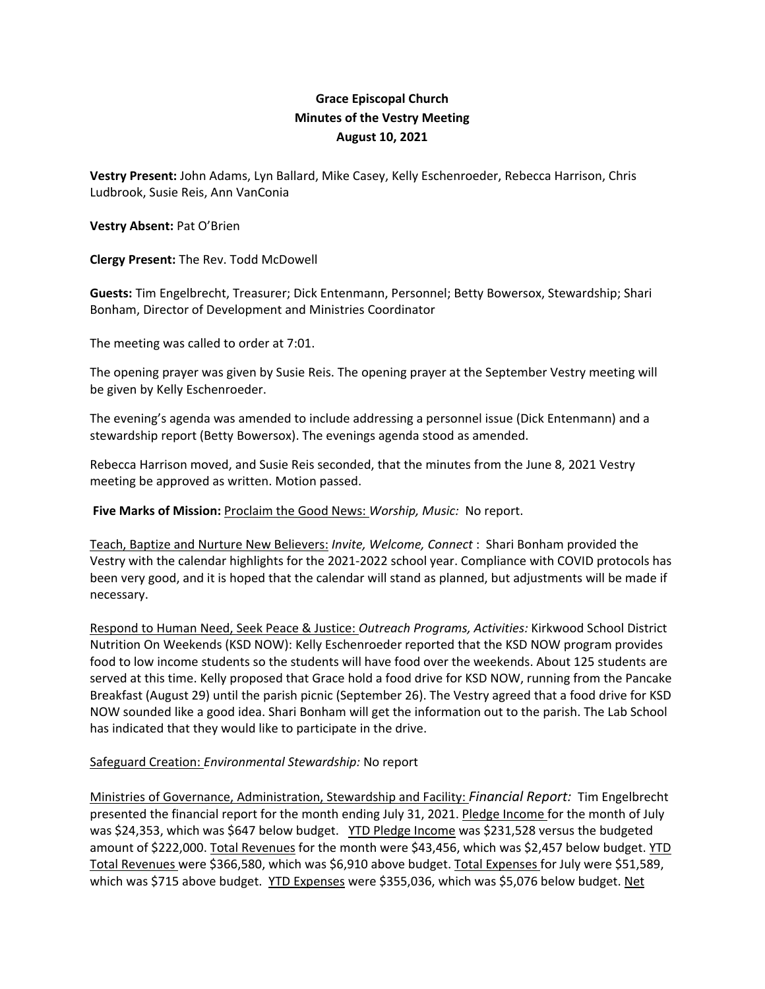## **Grace Episcopal Church Minutes of the Vestry Meeting August 10, 2021**

**Vestry Present:** John Adams, Lyn Ballard, Mike Casey, Kelly Eschenroeder, Rebecca Harrison, Chris Ludbrook, Susie Reis, Ann VanConia

## **Vestry Absent:** Pat O'Brien

**Clergy Present:** The Rev. Todd McDowell

**Guests:** Tim Engelbrecht, Treasurer; Dick Entenmann, Personnel; Betty Bowersox, Stewardship; Shari Bonham, Director of Development and Ministries Coordinator

The meeting was called to order at 7:01.

The opening prayer was given by Susie Reis. The opening prayer at the September Vestry meeting will be given by Kelly Eschenroeder.

The evening's agenda was amended to include addressing a personnel issue (Dick Entenmann) and a stewardship report (Betty Bowersox). The evenings agenda stood as amended.

Rebecca Harrison moved, and Susie Reis seconded, that the minutes from the June 8, 2021 Vestry meeting be approved as written. Motion passed.

**Five Marks of Mission:** Proclaim the Good News: *Worship, Music:* No report.

Teach, Baptize and Nurture New Believers: *Invite, Welcome, Connect* : Shari Bonham provided the Vestry with the calendar highlights for the 2021‐2022 school year. Compliance with COVID protocols has been very good, and it is hoped that the calendar will stand as planned, but adjustments will be made if necessary.

Respond to Human Need, Seek Peace & Justice: *Outreach Programs, Activities:* Kirkwood School District Nutrition On Weekends (KSD NOW): Kelly Eschenroeder reported that the KSD NOW program provides food to low income students so the students will have food over the weekends. About 125 students are served at this time. Kelly proposed that Grace hold a food drive for KSD NOW, running from the Pancake Breakfast (August 29) until the parish picnic (September 26). The Vestry agreed that a food drive for KSD NOW sounded like a good idea. Shari Bonham will get the information out to the parish. The Lab School has indicated that they would like to participate in the drive.

## Safeguard Creation: *Environmental Stewardship:* No report

Ministries of Governance, Administration, Stewardship and Facility: *Financial Report:* Tim Engelbrecht presented the financial report for the month ending July 31, 2021. Pledge Income for the month of July was \$24,353, which was \$647 below budget. YTD Pledge Income was \$231,528 versus the budgeted amount of \$222,000. Total Revenues for the month were \$43,456, which was \$2,457 below budget. YTD Total Revenues were \$366,580, which was \$6,910 above budget. Total Expenses for July were \$51,589, which was \$715 above budget. YTD Expenses were \$355,036, which was \$5,076 below budget. Net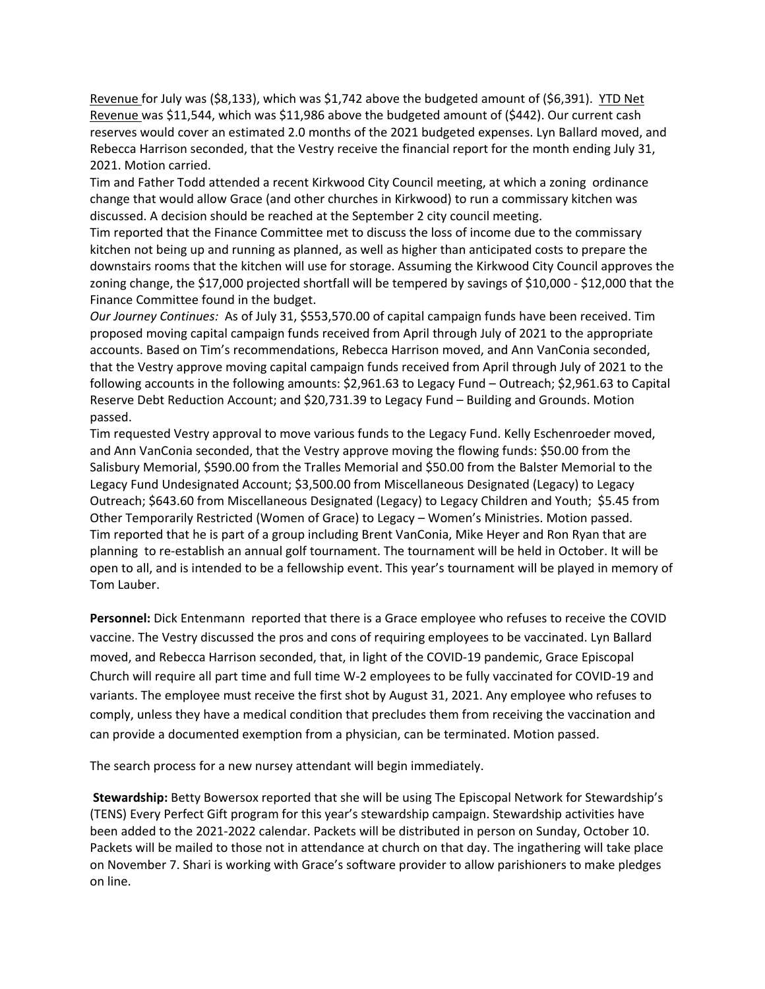Revenue for July was (\$8,133), which was \$1,742 above the budgeted amount of (\$6,391). YTD Net Revenue was \$11,544, which was \$11,986 above the budgeted amount of (\$442). Our current cash reserves would cover an estimated 2.0 months of the 2021 budgeted expenses. Lyn Ballard moved, and Rebecca Harrison seconded, that the Vestry receive the financial report for the month ending July 31, 2021. Motion carried.

Tim and Father Todd attended a recent Kirkwood City Council meeting, at which a zoning ordinance change that would allow Grace (and other churches in Kirkwood) to run a commissary kitchen was discussed. A decision should be reached at the September 2 city council meeting.

Tim reported that the Finance Committee met to discuss the loss of income due to the commissary kitchen not being up and running as planned, as well as higher than anticipated costs to prepare the downstairs rooms that the kitchen will use for storage. Assuming the Kirkwood City Council approves the zoning change, the \$17,000 projected shortfall will be tempered by savings of \$10,000 ‐ \$12,000 that the Finance Committee found in the budget.

*Our Journey Continues:* As of July 31, \$553,570.00 of capital campaign funds have been received. Tim proposed moving capital campaign funds received from April through July of 2021 to the appropriate accounts. Based on Tim's recommendations, Rebecca Harrison moved, and Ann VanConia seconded, that the Vestry approve moving capital campaign funds received from April through July of 2021 to the following accounts in the following amounts: \$2,961.63 to Legacy Fund – Outreach; \$2,961.63 to Capital Reserve Debt Reduction Account; and \$20,731.39 to Legacy Fund – Building and Grounds. Motion passed.

Tim requested Vestry approval to move various funds to the Legacy Fund. Kelly Eschenroeder moved, and Ann VanConia seconded, that the Vestry approve moving the flowing funds: \$50.00 from the Salisbury Memorial, \$590.00 from the Tralles Memorial and \$50.00 from the Balster Memorial to the Legacy Fund Undesignated Account; \$3,500.00 from Miscellaneous Designated (Legacy) to Legacy Outreach; \$643.60 from Miscellaneous Designated (Legacy) to Legacy Children and Youth; \$5.45 from Other Temporarily Restricted (Women of Grace) to Legacy – Women's Ministries. Motion passed. Tim reported that he is part of a group including Brent VanConia, Mike Heyer and Ron Ryan that are planning to re‐establish an annual golf tournament. The tournament will be held in October. It will be open to all, and is intended to be a fellowship event. This year's tournament will be played in memory of Tom Lauber.

**Personnel:** Dick Entenmann reported that there is a Grace employee who refuses to receive the COVID vaccine. The Vestry discussed the pros and cons of requiring employees to be vaccinated. Lyn Ballard moved, and Rebecca Harrison seconded, that, in light of the COVID‐19 pandemic, Grace Episcopal Church will require all part time and full time W‐2 employees to be fully vaccinated for COVID‐19 and variants. The employee must receive the first shot by August 31, 2021. Any employee who refuses to comply, unless they have a medical condition that precludes them from receiving the vaccination and can provide a documented exemption from a physician, can be terminated. Motion passed.

The search process for a new nursey attendant will begin immediately.

**Stewardship:** Betty Bowersox reported that she will be using The Episcopal Network for Stewardship's (TENS) Every Perfect Gift program for this year's stewardship campaign. Stewardship activities have been added to the 2021‐2022 calendar. Packets will be distributed in person on Sunday, October 10. Packets will be mailed to those not in attendance at church on that day. The ingathering will take place on November 7. Shari is working with Grace's software provider to allow parishioners to make pledges on line.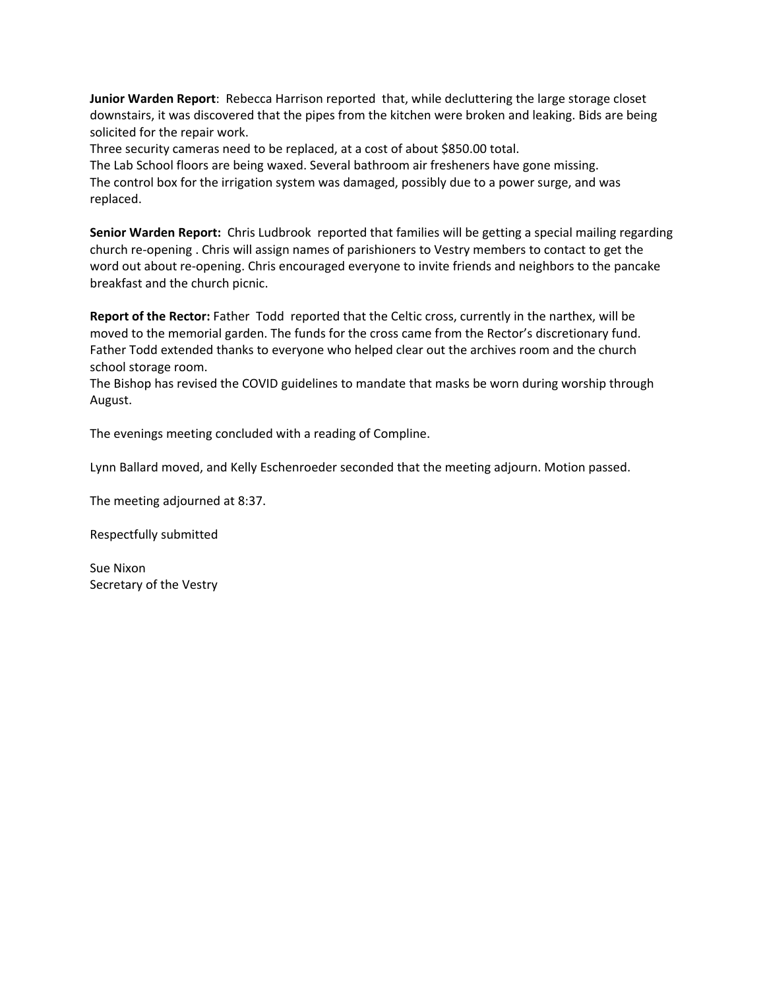**Junior Warden Report**: Rebecca Harrison reported that, while decluttering the large storage closet downstairs, it was discovered that the pipes from the kitchen were broken and leaking. Bids are being solicited for the repair work.

Three security cameras need to be replaced, at a cost of about \$850.00 total.

The Lab School floors are being waxed. Several bathroom air fresheners have gone missing. The control box for the irrigation system was damaged, possibly due to a power surge, and was replaced.

**Senior Warden Report:** Chris Ludbrook reported that families will be getting a special mailing regarding church re‐opening . Chris will assign names of parishioners to Vestry members to contact to get the word out about re-opening. Chris encouraged everyone to invite friends and neighbors to the pancake breakfast and the church picnic.

**Report of the Rector:** Father Todd reported that the Celtic cross, currently in the narthex, will be moved to the memorial garden. The funds for the cross came from the Rector's discretionary fund. Father Todd extended thanks to everyone who helped clear out the archives room and the church school storage room.

The Bishop has revised the COVID guidelines to mandate that masks be worn during worship through August.

The evenings meeting concluded with a reading of Compline.

Lynn Ballard moved, and Kelly Eschenroeder seconded that the meeting adjourn. Motion passed.

The meeting adjourned at 8:37.

Respectfully submitted

Sue Nixon Secretary of the Vestry